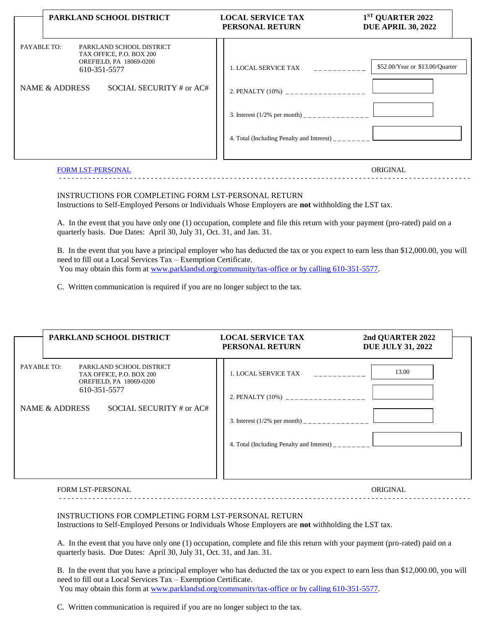|                               | PARKLAND SCHOOL DISTRICT                                                                                                    | <b>LOCAL SERVICE TAX</b><br>PERSONAL RETURN                                                                                                      | 1ST QUARTER 2022<br><b>DUE APRIL 30, 2022</b> |
|-------------------------------|-----------------------------------------------------------------------------------------------------------------------------|--------------------------------------------------------------------------------------------------------------------------------------------------|-----------------------------------------------|
| PAYABLE TO:<br>NAME & ADDRESS | PARKLAND SCHOOL DISTRICT<br>TAX OFFICE, P.O. BOX 200<br>OREFIELD, PA 18069-0200<br>610-351-5577<br>SOCIAL SECURITY # or AC# | 2. PENALTY (10%) __________________<br>3. Interest $(1/2\%$ per month) ______________<br>4. Total (Including Penalty and Interest) $\frac{1}{2}$ | \$52.00/Year or \$13.00/Quarter               |
| <b>FORM LST-PERSONAL</b>      |                                                                                                                             |                                                                                                                                                  | ORIGINAL                                      |

## INSTRUCTIONS FOR COMPLETING FORM LST-PERSONAL RETURN Instructions to Self-Employed Persons or Individuals Whose Employers are **not** withholding the LST tax.

A. In the event that you have only one (1) occupation, complete and file this return with your payment (pro-rated) paid on a quarterly basis. Due Dates: April 30, July 31, Oct. 31, and Jan. 31.

B. In the event that you have a principal employer who has deducted the tax or you expect to earn less than \$12,000.00, you will need to fill out a Local Services Tax – Exemption Certificate. You may obtain this form at [www.parklandsd.org/community/tax-office or by calling 610-351-5577.](http://www.parklandsd.org/community/tax-office%20or%20by%20calling%20610-351-5577)

- - - - - - - - - - - - - - - - - - - - - - - - - - - - - - - - - - - - - - - - - - - - - - - - - - - - - - - - - - - - - - - - - - - - - - - - - - - - - - - - - - - - - - - - - - - - - - - - - - -

C. Written communication is required if you are no longer subject to the tax.

| PARKLAND SCHOOL DISTRICT                                                                                       | <b>LOCAL SERVICE TAX</b><br>PERSONAL RETURN                                                                                                       | 2nd QUARTER 2022<br><b>DUE JULY 31, 2022</b> |
|----------------------------------------------------------------------------------------------------------------|---------------------------------------------------------------------------------------------------------------------------------------------------|----------------------------------------------|
| PAYABLE TO:<br>PARKLAND SCHOOL DISTRICT<br>TAX OFFICE, P.O. BOX 200<br>OREFIELD, PA 18069-0200<br>610-351-5577 | 1. LOCAL SERVICE TAX                                                                                                                              | 13.00                                        |
| SOCIAL SECURITY # or AC#<br>NAME & ADDRESS                                                                     | 2. PENALTY (10%) __________________<br>3. Interest $(1/2\%$ per month) _______________<br>4. Total (Including Penalty and Interest) $\frac{1}{1}$ |                                              |

## FORM LST-PERSONAL ORIGINAL - - - - - - - - - - - - - - - - - - - - - - - - - - - - - - - - - - - - - - - - - - - - - - - - - - - - - - - - - - - - - - - - - - - - - - - - - - - - - - - - - - - - - - - - - - - - - - - - - - -

## INSTRUCTIONS FOR COMPLETING FORM LST-PERSONAL RETURN

Instructions to Self-Employed Persons or Individuals Whose Employers are **not** withholding the LST tax.

A. In the event that you have only one (1) occupation, complete and file this return with your payment (pro-rated) paid on a quarterly basis. Due Dates: April 30, July 31, Oct. 31, and Jan. 31.

B. In the event that you have a principal employer who has deducted the tax or you expect to earn less than \$12,000.00, you will need to fill out a Local Services Tax – Exemption Certificate. You may obtain this form at [www.parklandsd.org/community/tax-office or by calling 610-351-5577.](http://www.parklandsd.org/community/tax-office%20or%20by%20calling%20610-351-5577)

C. Written communication is required if you are no longer subject to the tax.